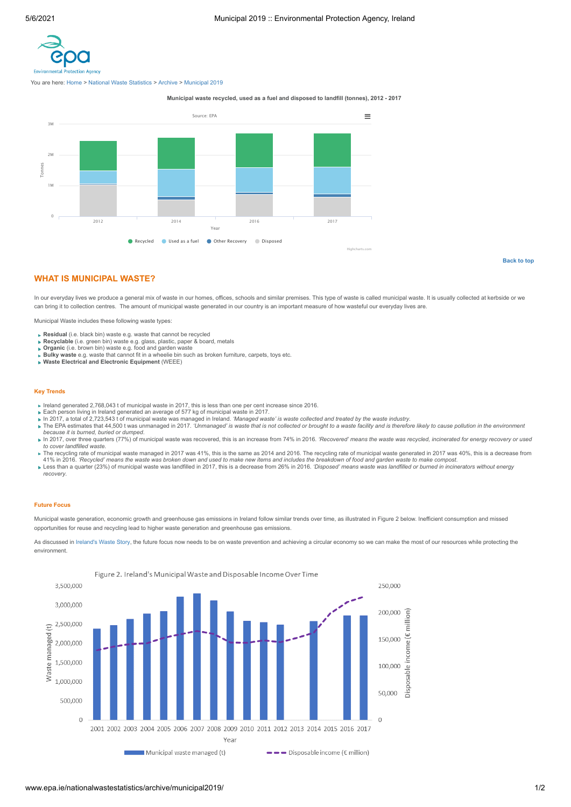<span id="page-0-0"></span>

You are here: [Home](http://www.epa.ie/) > [National Waste Statistics](http://www.epa.ie/nationalwastestatistics/) > [Archive](http://www.epa.ie/nationalwastestatistics/archive/) > [Municipal 2019](http://www.epa.ie/nationalwastestatistics/archive/municipal2019/)

**Municipal waste recycled, used as a fuel and disposed to landfill (tonnes), 2012 - 2017**



**[Back to top](#page-0-0)**

# **WHAT IS MUNICIPAL WASTE?**

In our everyday lives we produce a general mix of waste in our homes, offices, schools and similar premises. This type of waste is called municipal waste. It is usually collected at kerbside or we can bring it to collection centres. The amount of municipal waste generated in our country is an important measure of how wasteful our everyday lives are.

Municipal Waste includes these following waste types:

- **Residual** (i.e. black bin) waste e.g. waste that cannot be recycled
- 
- 
- **Recyclable** (i.e. green bin) waste e.g. glass, plastic, paper & board, metals<br>**Organic** (i.e. brown bin) waste e.g. food and garden waste<br>**Bulky waste** e.g. waste that cannot fit in a wheelie bin such as broken furniture,
- **Waste Electrical and Electronic Equipment** (WEEE)

### **Key Trends**

- Ireland generated 2,768,043 t of municipal waste in 2017, this is less than one per cent increase since 2016. Each person living in Ireland generated an average of 577 kg of municipal waste in 2017.
- 
- 
- In 2017, a total of 2,723,543 t of municipal waste was managed in Ireland. *'Managed waste' is waste collected and treated by the waste industry.*<br>The EPA estimates that 44,500 t was unmanaged in 2017. *'Unmanaged' is wast*
- because it is burned, buried or dumped.<br>In 2017, over three quarters (77%) of municipal waste was recovered, this is an increase from 74% in 2016. *'Recovered' means the waste was recycled, incinerated for energy recovery to cover landfilled waste*.
- The recycling rate of municipal waste managed in 2017 was 41%, this is the same as 2014 and 2016. The recycling rate of municipal waste generated in 2017 was 40%, this is a decrease from
- 41% in 2016. *'Recycled' means the waste was broken down and used to make new items and includes the breakdown of food and garden waste to make compost*. **Example 1986** Less than a quarter (23%) of municipal waste was landfilled in 2017, this is a decrease from 26% in 2016. *'Disposed' means waste was landfilled or burned in incinerators without energy recovery*.

#### **Future Focus**

Municipal waste generation, economic growth and greenhouse gas emissions in Ireland follow similar trends over time, as illustrated in Figure 2 below. Inefficient consumption and missed opportunities for reuse and recycling lead to higher waste generation and greenhouse gas emissions.

As discussed in [Ireland's Waste Story,](http://www.epa.ie/nationalwastestatistics/irelandswastestory/) the future focus now needs to be on waste prevention and achieving a circular economy so we can make the most of our resources while protecting the environment.



www.epa.ie/nationalwastestatistics/archive/municipal2019/ 12